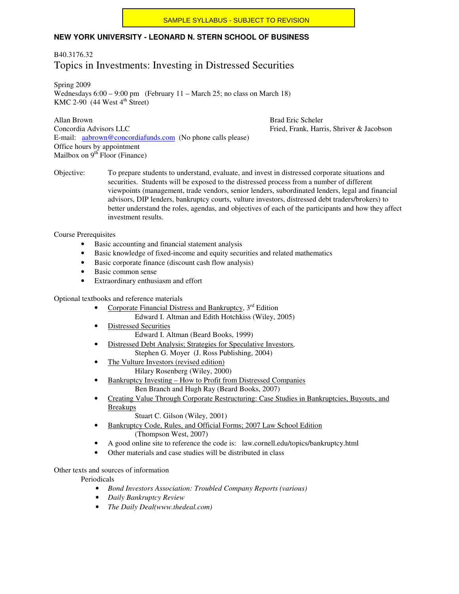### **NEW YORK UNIVERSITY - LEONARD N. STERN SCHOOL OF BUSINESS**

### B40.3176.32 Topics in Investments: Investing in Distressed Securities

Spring 2009 Wednesdays  $6:00 - 9:00$  pm (February 11 – March 25; no class on March 18) KMC 2-90  $(44$  West  $4<sup>th</sup>$  Street)

Allan Brown Brad Eric Scheler Concordia Advisors LLC **Fried, Frank, Harris, Shriver & Jacobson** E-mail: aabrown@concordiafunds.com (No phone calls please) Office hours by appointment Mailbox on  $9<sup>th</sup>$  Floor (Finance)

Objective: To prepare students to understand, evaluate, and invest in distressed corporate situations and securities. Students will be exposed to the distressed process from a number of different viewpoints (management, trade vendors, senior lenders, subordinated lenders, legal and financial advisors, DIP lenders, bankruptcy courts, vulture investors, distressed debt traders/brokers) to better understand the roles, agendas, and objectives of each of the participants and how they affect investment results.

Course Prerequisites

- Basic accounting and financial statement analysis
- Basic knowledge of fixed-income and equity securities and related mathematics
- Basic corporate finance (discount cash flow analysis)
- Basic common sense
- Extraordinary enthusiasm and effort

Optional textbooks and reference materials

- Corporate Financial Distress and Bankruptcy,  $3<sup>rd</sup>$  Edition
	- Edward I. Altman and Edith Hotchkiss (Wiley, 2005)
- **Distressed Securities** Edward I. Altman (Beard Books, 1999)
- Distressed Debt Analysis; Strategies for Speculative Investors,
- Stephen G. Moyer (J. Ross Publishing, 2004)
- The Vulture Investors (revised edition) Hilary Rosenberg (Wiley, 2000)
- Bankruptcy Investing How to Profit from Distressed Companies Ben Branch and Hugh Ray (Beard Books, 2007)
- Creating Value Through Corporate Restructuring: Case Studies in Bankruptcies, Buyouts, and Breakups
	- Stuart C. Gilson (Wiley, 2001)
- Bankruptcy Code, Rules, and Official Forms; 2007 Law School Edition (Thompson West, 2007)
- A good online site to reference the code is: law.cornell.edu/topics/bankruptcy.html
- Other materials and case studies will be distributed in class

#### Other texts and sources of information

Periodicals

- *Bond Investors Association: Troubled Company Reports (various)*
- *Daily Bankruptcy Review*
- *The Daily Deal(www.thedeal.com)*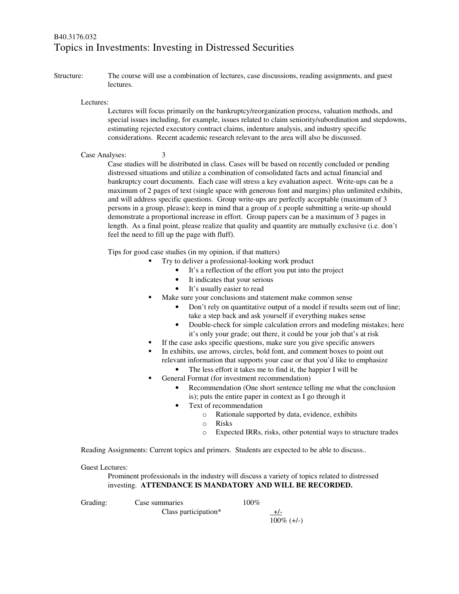## B40.3176.032 Topics in Investments: Investing in Distressed Securities

Structure: The course will use a combination of lectures, case discussions, reading assignments, and guest lectures.

Lectures:

Lectures will focus primarily on the bankruptcy/reorganization process, valuation methods, and special issues including, for example, issues related to claim seniority/subordination and stepdowns, estimating rejected executory contract claims, indenture analysis, and industry specific considerations. Recent academic research relevant to the area will also be discussed.

#### Case Analyses: 3

Case studies will be distributed in class. Cases will be based on recently concluded or pending distressed situations and utilize a combination of consolidated facts and actual financial and bankruptcy court documents. Each case will stress a key evaluation aspect. Write-ups can be a maximum of 2 pages of text (single space with generous font and margins) plus unlimited exhibits, and will address specific questions. Group write-ups are perfectly acceptable (maximum of 3 persons in a group, please); keep in mind that a group of *x* people submitting a write-up should demonstrate a proportional increase in effort. Group papers can be a maximum of 3 pages in length. As a final point, please realize that quality and quantity are mutually exclusive (i.e. don't feel the need to fill up the page with fluff).

Tips for good case studies (in my opinion, if that matters)

- Try to deliver a professional-looking work product
	- It's a reflection of the effort you put into the project
	- It indicates that your serious
	- It's usually easier to read
- Make sure your conclusions and statement make common sense
	- Don't rely on quantitative output of a model if results seem out of line; take a step back and ask yourself if everything makes sense
	- Double-check for simple calculation errors and modeling mistakes; here it's only your grade; out there, it could be your job that's at risk
- If the case asks specific questions, make sure you give specific answers
- In exhibits, use arrows, circles, bold font, and comment boxes to point out relevant information that supports your case or that you'd like to emphasize
	- The less effort it takes me to find it, the happier I will be
	- General Format (for investment recommendation)
		- Recommendation (One short sentence telling me what the conclusion is); puts the entire paper in context as I go through it
			- Text of recommendation
				- o Rationale supported by data, evidence, exhibits
				- o Risks
				- o Expected IRRs, risks, other potential ways to structure trades

Reading Assignments: Current topics and primers. Students are expected to be able to discuss..

#### Guest Lectures:

Prominent professionals in the industry will discuss a variety of topics related to distressed investing. **ATTENDANCE IS MANDATORY AND WILL BE RECORDED.** 

Grading: Case summaries 100% Class participation\*  $+/-$ 100% (+/-)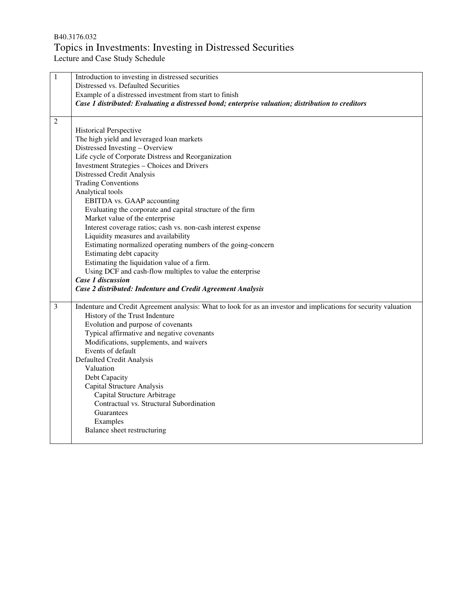## B40.3176.032 Topics in Investments: Investing in Distressed Securities

Lecture and Case Study Schedule

| $\mathbf 1$    | Introduction to investing in distressed securities                                                               |
|----------------|------------------------------------------------------------------------------------------------------------------|
|                | Distressed vs. Defaulted Securities                                                                              |
|                | Example of a distressed investment from start to finish                                                          |
|                | Case 1 distributed: Evaluating a distressed bond; enterprise valuation; distribution to creditors                |
| $\overline{2}$ |                                                                                                                  |
|                | <b>Historical Perspective</b>                                                                                    |
|                | The high yield and leveraged loan markets                                                                        |
|                | Distressed Investing - Overview                                                                                  |
|                | Life cycle of Corporate Distress and Reorganization                                                              |
|                | <b>Investment Strategies - Choices and Drivers</b>                                                               |
|                | Distressed Credit Analysis                                                                                       |
|                | <b>Trading Conventions</b>                                                                                       |
|                | Analytical tools                                                                                                 |
|                | EBITDA vs. GAAP accounting                                                                                       |
|                | Evaluating the corporate and capital structure of the firm                                                       |
|                | Market value of the enterprise                                                                                   |
|                | Interest coverage ratios; cash vs. non-cash interest expense                                                     |
|                | Liquidity measures and availability                                                                              |
|                | Estimating normalized operating numbers of the going-concern                                                     |
|                | Estimating debt capacity                                                                                         |
|                | Estimating the liquidation value of a firm.                                                                      |
|                | Using DCF and cash-flow multiples to value the enterprise                                                        |
|                | <b>Case 1 discussion</b>                                                                                         |
|                | Case 2 distributed: Indenture and Credit Agreement Analysis                                                      |
| 3              | Indenture and Credit Agreement analysis: What to look for as an investor and implications for security valuation |
|                | History of the Trust Indenture                                                                                   |
|                | Evolution and purpose of covenants                                                                               |
|                | Typical affirmative and negative covenants                                                                       |
|                | Modifications, supplements, and waivers                                                                          |
|                | Events of default                                                                                                |
|                | Defaulted Credit Analysis                                                                                        |
|                | Valuation                                                                                                        |
|                | Debt Capacity                                                                                                    |
|                | Capital Structure Analysis                                                                                       |
|                | Capital Structure Arbitrage                                                                                      |
|                | Contractual vs. Structural Subordination                                                                         |
|                | Guarantees                                                                                                       |
|                | Examples                                                                                                         |
|                | Balance sheet restructuring                                                                                      |
|                |                                                                                                                  |